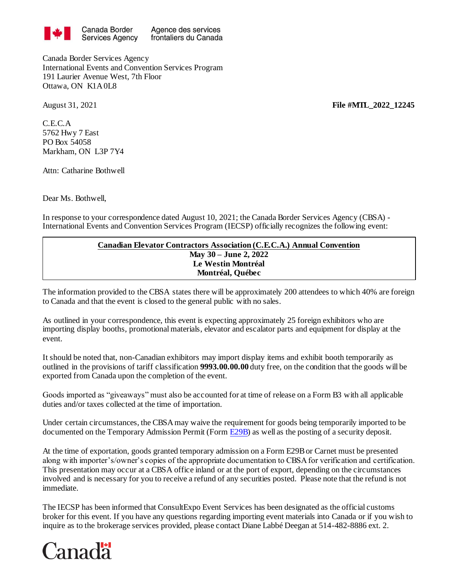

Agence des services frontaliers du Canada

Canada Border Services Agency International Events and Convention Services Program 191 Laurier Avenue West, 7th Floor Ottawa, ON K1A 0L8

C.E.C.A 5762 Hwy 7 East PO Box 54058 Markham, ON L3P 7Y4

Attn: Catharine Bothwell

Dear Ms. Bothwell,

In response to your correspondence dated August 10, 2021; the Canada Border Services Agency (CBSA) - International Events and Convention Services Program (IECSP) officially recognizes the following event:

## **Canadian Elevator Contractors Association (C.E.C.A.) Annual Convention May 30 – June 2, 2022 Le Westin Montréal Montréal, Québec**

The information provided to the CBSA states there will be approximately 200 attendees to which 40% are foreign to Canada and that the event is closed to the general public with no sales.

As outlined in your correspondence, this event is expecting approximately 25 foreign exhibitors who are importing display booths, promotional materials, elevator and escalator parts and equipment for display at the event.

It should be noted that, non-Canadian exhibitors may import display items and exhibit booth temporarily as outlined in the provisions of tariff classification **9993.00.00.00** duty free, on the condition that the goods will be exported from Canada upon the completion of the event.

Goods imported as "giveaways" must also be accounted for at time of release on a Form B3 with all applicable duties and/or taxes collected at the time of importation.

Under certain circumstances, the CBSA may waive the requirement for goods being temporarily imported to be documented on the Temporary Admission Permit (For[m E29B\)](http://www.cbsa-asfc.gc.ca/publications/forms-formulaires/e29b.pdf) as well as the posting of a security deposit.

At the time of exportation, goods granted temporary admission on a Form E29B or Carnet must be presented along with importer's/owner's copies of the appropriate documentation to CBSA for verification and certification. This presentation may occur at a CBSA office inland or at the port of export, depending on the circumstances involved and is necessary for you to receive a refund of any securities posted. Please note that the refund is not immediate.

The IECSP has been informed that ConsultExpo Event Services has been designated as the official customs broker for this event. If you have any questions regarding importing event materials into Canada or if you wish to inquire as to the brokerage services provided, please contact Diane Labbé Deegan at 514-482-8886 ext. 2.



August 31, 2021 **File #MTL\_2022\_12245**